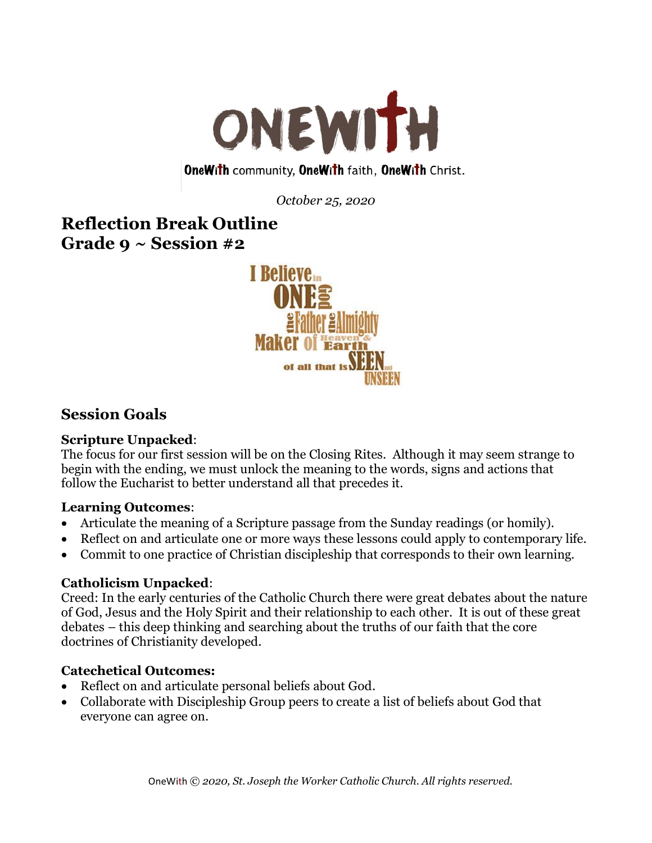

### **OneWith community, OneWith faith, OneWith Christ.**

*October 25, 2020*

# **Reflection Break Outline Grade 9 ~ Session #2**



## **Session Goals**

### **Scripture Unpacked**:

The focus for our first session will be on the Closing Rites. Although it may seem strange to begin with the ending, we must unlock the meaning to the words, signs and actions that follow the Eucharist to better understand all that precedes it.

### **Learning Outcomes**:

- Articulate the meaning of a Scripture passage from the Sunday readings (or homily).
- Reflect on and articulate one or more ways these lessons could apply to contemporary life.
- Commit to one practice of Christian discipleship that corresponds to their own learning.

### **Catholicism Unpacked**:

Creed: In the early centuries of the Catholic Church there were great debates about the nature of God, Jesus and the Holy Spirit and their relationship to each other. It is out of these great debates – this deep thinking and searching about the truths of our faith that the core doctrines of Christianity developed.

### **Catechetical Outcomes:**

- Reflect on and articulate personal beliefs about God.
- Collaborate with Discipleship Group peers to create a list of beliefs about God that everyone can agree on.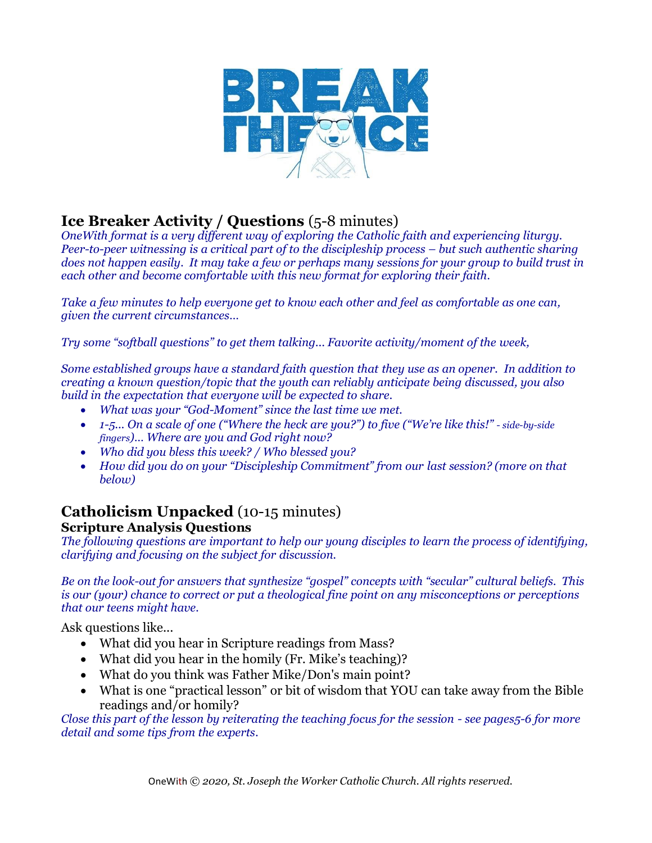

# **Ice Breaker Activity / Questions** (5-8 minutes)

*OneWith format is a very different way of exploring the Catholic faith and experiencing liturgy. Peer-to-peer witnessing is a critical part of to the discipleship process – but such authentic sharing does not happen easily. It may take a few or perhaps many sessions for your group to build trust in each other and become comfortable with this new format for exploring their faith.* 

*Take a few minutes to help everyone get to know each other and feel as comfortable as one can, given the current circumstances…*

*Try some "softball questions" to get them talking... Favorite activity/moment of the week,* 

*Some established groups have a standard faith question that they use as an opener. In addition to creating a known question/topic that the youth can reliably anticipate being discussed, you also build in the expectation that everyone will be expected to share.* 

- *What was your "God-Moment" since the last time we met.*
- *1-5... On a scale of one ("Where the heck are you?") to five ("We're like this!" - side-by-side fingers)… Where are you and God right now?*
- *Who did you bless this week? / Who blessed you?*
- *How did you do on your "Discipleship Commitment" from our last session? (more on that below)*

## **Catholicism Unpacked** (10-15 minutes) **Scripture Analysis Questions**

*The following questions are important to help our young disciples to learn the process of identifying, clarifying and focusing on the subject for discussion.*

*Be on the look-out for answers that synthesize "gospel" concepts with "secular" cultural beliefs. This is our (your) chance to correct or put a theological fine point on any misconceptions or perceptions that our teens might have.* 

Ask questions like...

- What did you hear in Scripture readings from Mass?
- What did you hear in the homily (Fr. Mike's teaching)?
- What do you think was Father Mike/Don's main point?
- What is one "practical lesson" or bit of wisdom that YOU can take away from the Bible readings and/or homily?

*Close this part of the lesson by reiterating the teaching focus for the session - see pages5-6 for more detail and some tips from the experts.*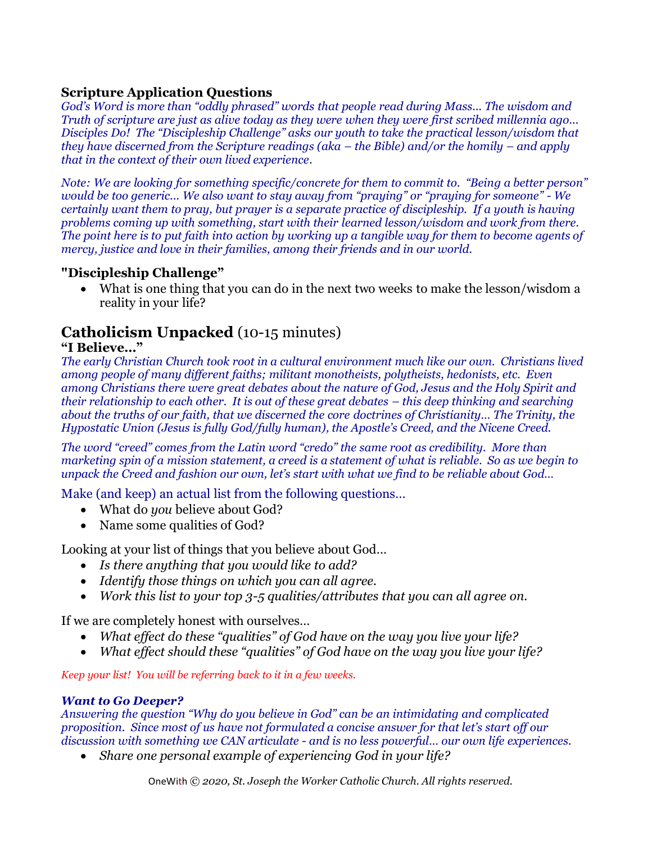### **Scripture Application Questions**

*God's Word is more than "oddly phrased" words that people read during Mass... The wisdom and Truth of scripture are just as alive today as they were when they were first scribed millennia ago... Disciples Do! The "Discipleship Challenge" asks our youth to take the practical lesson/wisdom that they have discerned from the Scripture readings (aka – the Bible) and/or the homily – and apply that in the context of their own lived experience.*

*Note: We are looking for something specific/concrete for them to commit to. "Being a better person" would be too generic... We also want to stay away from "praying" or "praying for someone" - We certainly want them to pray, but prayer is a separate practice of discipleship. If a youth is having problems coming up with something, start with their learned lesson/wisdom and work from there. The point here is to put faith into action by working up a tangible way for them to become agents of mercy, justice and love in their families, among their friends and in our world.*

### **"Discipleship Challenge"**

• What is one thing that you can do in the next two weeks to make the lesson/wisdom a reality in your life?

## **Catholicism Unpacked** (10-15 minutes)

### **"I Believe…"**

*The early Christian Church took root in a cultural environment much like our own. Christians lived among people of many different faiths; militant monotheists, polytheists, hedonists, etc. Even among Christians there were great debates about the nature of God, Jesus and the Holy Spirit and their relationship to each other. It is out of these great debates – this deep thinking and searching about the truths of our faith, that we discerned the core doctrines of Christianity… The Trinity, the Hypostatic Union (Jesus is fully God/fully human), the Apostle's Creed, and the Nicene Creed.* 

*The word "creed" comes from the Latin word "credo" the same root as credibility. More than marketing spin of a mission statement, a creed is a statement of what is reliable. So as we begin to unpack the Creed and fashion our own, let's start with what we find to be reliable about God…*

Make (and keep) an actual list from the following questions…

- What do *you* believe about God?
- Name some qualities of God?

Looking at your list of things that you believe about God…

- *Is there anything that you would like to add?*
- *Identify those things on which you can all agree.*
- *Work this list to your top 3-5 qualities/attributes that you can all agree on.*

If we are completely honest with ourselves…

- *What effect do these "qualities" of God have on the way you live your life?*
- *What effect should these "qualities" of God have on the way you live your life?*

*Keep your list! You will be referring back to it in a few weeks.*

### *Want to Go Deeper?*

*Answering the question "Why do you believe in God" can be an intimidating and complicated proposition. Since most of us have not formulated a concise answer for that let's start off our discussion with something we CAN articulate - and is no less powerful… our own life experiences.*

• *Share one personal example of experiencing God in your life?*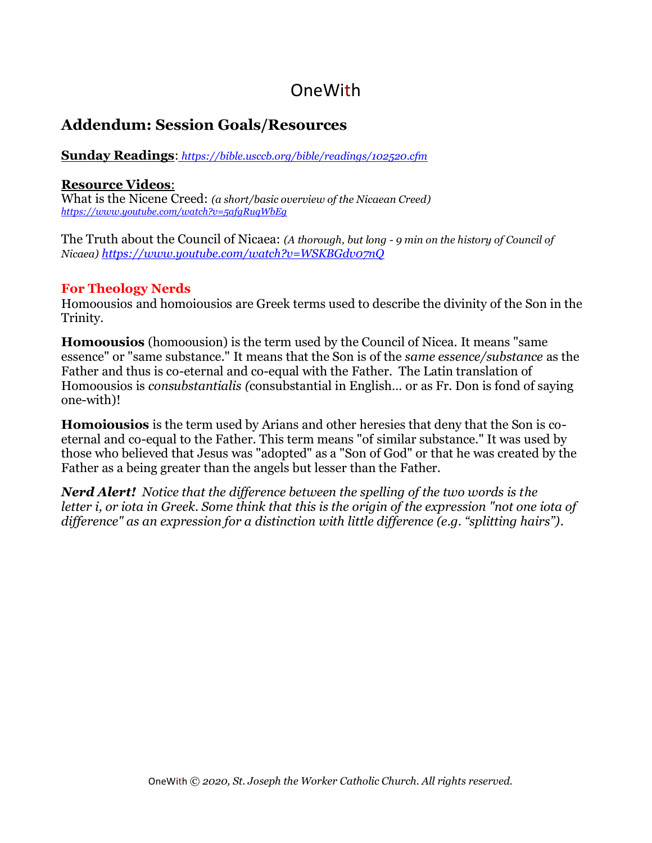# OneWith

## **Addendum: Session Goals/Resources**

**Sunday Readings**: *<https://bible.usccb.org/bible/readings/102520.cfm>*

### **Resource Videos**:

What is the Nicene Creed: *(a short/basic overview of the Nicaean Creed) <https://www.youtube.com/watch?v=5afgRuqWbEg>*

The Truth about the Council of Nicaea: *(A thorough, but long - 9 min on the history of Council of Nicaea) <https://www.youtube.com/watch?v=WSKBGdv07nQ>*

### **For Theology Nerds**

Homoousios and homoiousios are Greek terms used to describe the divinity of the Son in the Trinity.

**Homoousios** (homoousion) is the term used by the Council of Nicea. It means "same essence" or "same substance." It means that the Son is of the *same essence/substance* as the Father and thus is co-eternal and co-equal with the Father. The Latin translation of Homoousios is *consubstantialis (*consubstantial in English… or as Fr. Don is fond of saying one-with)!

**Homoiousios** is the term used by Arians and other heresies that deny that the Son is coeternal and co-equal to the Father. This term means "of similar substance." It was used by those who believed that Jesus was "adopted" as a "Son of God" or that he was created by the Father as a being greater than the angels but lesser than the Father.

*Nerd Alert! Notice that the difference between the spelling of the two words is the letter i, or iota in Greek. Some think that this is the origin of the expression "not one iota of difference" as an expression for a distinction with little difference (e.g. "splitting hairs").*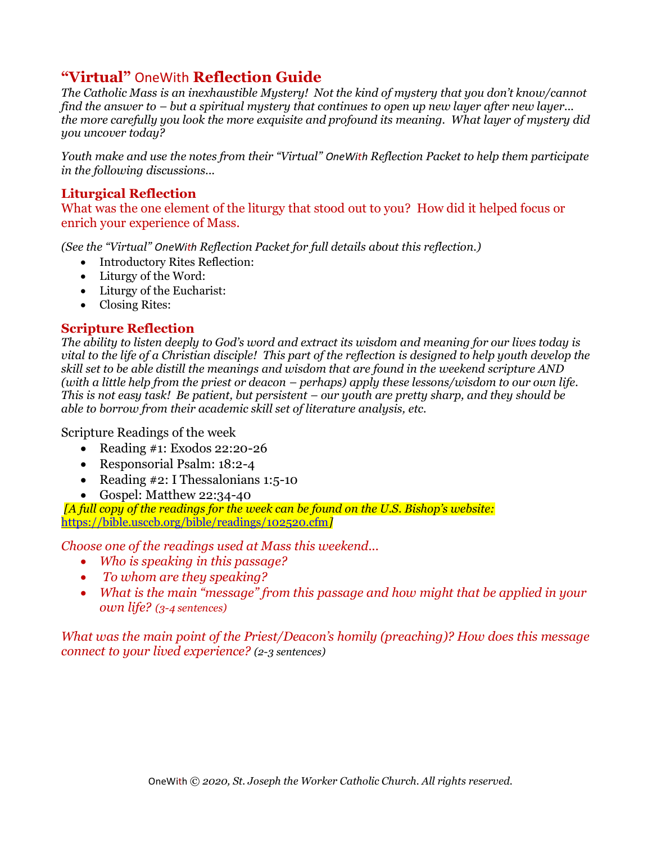## **"Virtual"** OneWith **Reflection Guide**

*The Catholic Mass is an inexhaustible Mystery! Not the kind of mystery that you don't know/cannot find the answer to – but a spiritual mystery that continues to open up new layer after new layer... the more carefully you look the more exquisite and profound its meaning. What layer of mystery did you uncover today?*

*Youth make and use the notes from their "Virtual" OneWith Reflection Packet to help them participate in the following discussions...*

### **Liturgical Reflection**

What was the one element of the liturgy that stood out to you? How did it helped focus or enrich your experience of Mass.

*(See the "Virtual" OneWith Reflection Packet for full details about this reflection.)*

- Introductory Rites Reflection:
- Liturgy of the Word:
- Liturgy of the Eucharist:
- Closing Rites:

### **Scripture Reflection**

*The ability to listen deeply to God's word and extract its wisdom and meaning for our lives today is vital to the life of a Christian disciple! This part of the reflection is designed to help youth develop the skill set to be able distill the meanings and wisdom that are found in the weekend scripture AND (with a little help from the priest or deacon – perhaps) apply these lessons/wisdom to our own life. This is not easy task! Be patient, but persistent – our youth are pretty sharp, and they should be able to borrow from their academic skill set of literature analysis, etc.*

Scripture Readings of the week

- Reading #1: Exodos 22:20-26
- Responsorial Psalm: 18:2-4
- Reading #2: I Thessalonians 1:5-10
- Gospel: Matthew 22:34-40

*[A full copy of the readings for the week can be found on the U.S. Bishop's website:* <https://bible.usccb.org/bible/readings/102520.cfm>*]*

*Choose one of the readings used at Mass this weekend...* 

- *Who is speaking in this passage?*
- *To whom are they speaking?*
- *What is the main "message" from this passage and how might that be applied in your own life? (3-4 sentences)*

*What was the main point of the Priest/Deacon's homily (preaching)? How does this message connect to your lived experience? (2-3 sentences)*